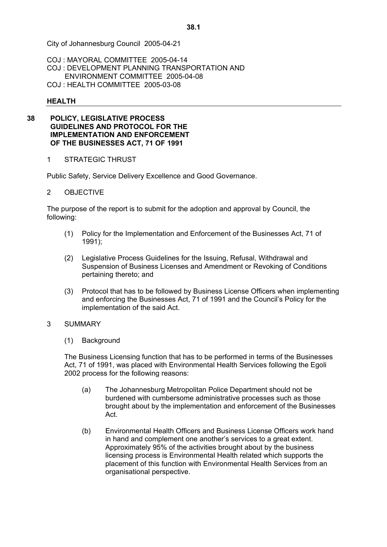COJ : MAYORAL COMMITTEE 2005-04-14 COJ : DEVELOPMENT PLANNING TRANSPORTATION AND ENVIRONMENT COMMITTEE 2005-04-08

COJ : HEALTH COMMITTEE 2005-03-08

### **HEALTH**

#### **38 POLICY, LEGISLATIVE PROCESS GUIDELINES AND PROTOCOL FOR THE IMPLEMENTATION AND ENFORCEMENT OF THE BUSINESSES ACT, 71 OF 1991**

1 STRATEGIC THRUST

Public Safety, Service Delivery Excellence and Good Governance.

### 2 OBJECTIVE

The purpose of the report is to submit for the adoption and approval by Council, the following:

- (1) Policy for the Implementation and Enforcement of the Businesses Act, 71 of 1991);
- (2) Legislative Process Guidelines for the Issuing, Refusal, Withdrawal and Suspension of Business Licenses and Amendment or Revoking of Conditions pertaining thereto; and
- (3) Protocol that has to be followed by Business License Officers when implementing and enforcing the Businesses Act, 71 of 1991 and the Council^s Policy for the implementation of the said Act.

### 3 SUMMARY

(1) Background

The Business Licensing function that has to be performed in terms of the Businesses Act, 71 of 1991, was placed with Environmental Health Services following the Egoli 2002 process for the following reasons:

- (a) The Johannesburg Metropolitan Police Department should not be burdened with cumbersome administrative processes such as those brought about by the implementation and enforcement of the Businesses Act.
- (b) Environmental Health Officers and Business License Officers work hand in hand and complement one another's services to a great extent. Approximately 95% of the activities brought about by the business licensing process is Environmental Health related which supports the placement of this function with Environmental Health Services from an organisational perspective.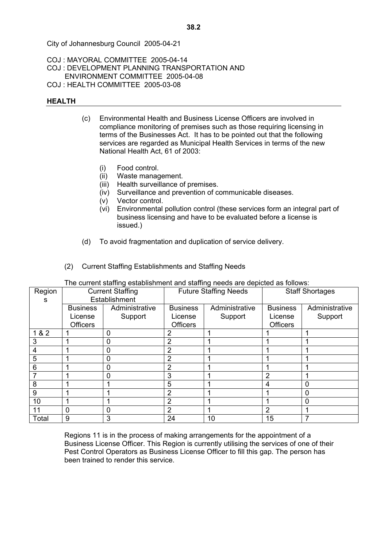COJ : MAYORAL COMMITTEE 2005-04-14 COJ : DEVELOPMENT PLANNING TRANSPORTATION AND ENVIRONMENT COMMITTEE 2005-04-08

COJ : HEALTH COMMITTEE 2005-03-08

## **HEALTH**

- (c) Environmental Health and Business License Officers are involved in compliance monitoring of premises such as those requiring licensing in terms of the Businesses Act. It has to be pointed out that the following services are regarded as Municipal Health Services in terms of the new National Health Act, 61 of 2003:
	- (i) Food control.
	- (ii) Waste management.
	- (iii) Health surveillance of premises.
	- (iv) Surveillance and prevention of communicable diseases.
	- (v) Vector control.
	- (vi) Environmental pollution control (these services form an integral part of business licensing and have to be evaluated before a license is issued.)
- (d) To avoid fragmentation and duplication of service delivery.
- (2) Current Staffing Establishments and Staffing Needs

| The current staffing establishment and staffing needs are depicted as follows: |  |  |
|--------------------------------------------------------------------------------|--|--|
|                                                                                |  |  |

| Region | <b>Current Staffing</b> |                | <b>Future Staffing Needs</b> |                | <b>Staff Shortages</b> |                |
|--------|-------------------------|----------------|------------------------------|----------------|------------------------|----------------|
| s      | Establishment           |                |                              |                |                        |                |
|        | <b>Business</b>         | Administrative | <b>Business</b>              | Administrative | <b>Business</b>        | Administrative |
|        | License                 | Support        | License                      | Support        | License                | Support        |
|        | <b>Officers</b>         |                | <b>Officers</b>              |                | <b>Officers</b>        |                |
| 1 & 2  |                         | 0              | 2                            |                |                        |                |
| 3      |                         | 0              | 2                            |                |                        |                |
| 4      |                         | ი              | 2                            |                |                        |                |
| 5      |                         | 0              | $\overline{2}$               |                |                        |                |
| 6      |                         | 0              | 2                            |                |                        |                |
|        |                         | 0              | 3                            |                | $\overline{2}$         |                |
| 8      |                         |                | 5                            |                | 4                      | 0              |
| 9      |                         |                | 2                            |                |                        | 0              |
| 10     |                         |                | 2                            |                |                        | $\Omega$       |
| 11     | $\mathbf 0$             | 0              | 2                            |                | $\overline{2}$         |                |
| Total  | 9                       | 3              | 24                           | 10             | 15                     |                |

Regions 11 is in the process of making arrangements for the appointment of a Business License Officer. This Region is currently utilising the services of one of their Pest Control Operators as Business License Officer to fill this gap. The person has been trained to render this service.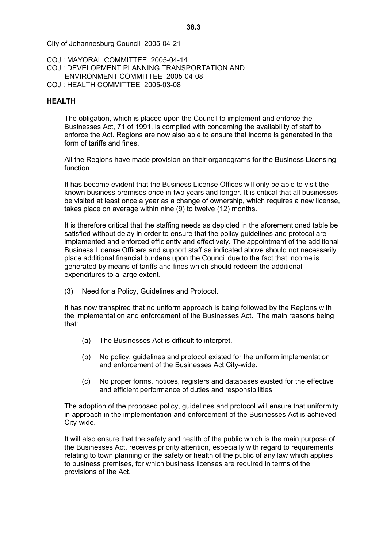# COJ : MAYORAL COMMITTEE 2005-04-14 COJ : DEVELOPMENT PLANNING TRANSPORTATION AND ENVIRONMENT COMMITTEE 2005-04-08

COJ : HEALTH COMMITTEE 2005-03-08

## **HEALTH**

The obligation, which is placed upon the Council to implement and enforce the Businesses Act, 71 of 1991, is complied with concerning the availability of staff to enforce the Act. Regions are now also able to ensure that income is generated in the form of tariffs and fines.

All the Regions have made provision on their organograms for the Business Licensing function.

It has become evident that the Business License Offices will only be able to visit the known business premises once in two years and longer. It is critical that all businesses be visited at least once a year as a change of ownership, which requires a new license, takes place on average within nine (9) to twelve (12) months.

It is therefore critical that the staffing needs as depicted in the aforementioned table be satisfied without delay in order to ensure that the policy guidelines and protocol are implemented and enforced efficiently and effectively. The appointment of the additional Business License Officers and support staff as indicated above should not necessarily place additional financial burdens upon the Council due to the fact that income is generated by means of tariffs and fines which should redeem the additional expenditures to a large extent.

(3) Need for a Policy, Guidelines and Protocol.

It has now transpired that no uniform approach is being followed by the Regions with the implementation and enforcement of the Businesses Act. The main reasons being that:

- (a) The Businesses Act is difficult to interpret.
- (b) No policy, guidelines and protocol existed for the uniform implementation and enforcement of the Businesses Act City-wide.
- (c) No proper forms, notices, registers and databases existed for the effective and efficient performance of duties and responsibilities.

The adoption of the proposed policy, guidelines and protocol will ensure that uniformity in approach in the implementation and enforcement of the Businesses Act is achieved City-wide.

It will also ensure that the safety and health of the public which is the main purpose of the Businesses Act, receives priority attention, especially with regard to requirements relating to town planning or the safety or health of the public of any law which applies to business premises, for which business licenses are required in terms of the provisions of the Act.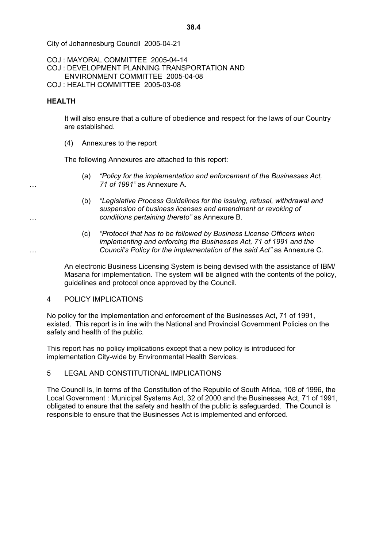COJ : MAYORAL COMMITTEE 2005-04-14

- COJ : DEVELOPMENT PLANNING TRANSPORTATION AND ENVIRONMENT COMMITTEE 2005-04-08
- 
- COJ : HEALTH COMMITTEE 2005-03-08

## **HEALTH**

It will also ensure that a culture of obedience and respect for the laws of our Country are established.

(4) Annexures to the report

The following Annexures are attached to this report:

- (a) *!Policy for the implementation and enforcement of the Businesses Act, 8 71 of 1991<* as Annexure A.
- (b) *!Legislative Process Guidelines for the issuing, refusal, withdrawal and suspension of business licenses and amendment or revoking of 8 conditions pertaining thereto<* as Annexure B.
- (c) *!Protocol that has to be followed by Business License Officers when implementing and enforcing the Businesses Act, 71 of 1991 and the Council's Policy for the implementation of the said Act"* as Annexure C.

An electronic Business Licensing System is being devised with the assistance of IBM/ Masana for implementation. The system will be aligned with the contents of the policy, guidelines and protocol once approved by the Council.

### 4 POLICY IMPLICATIONS

No policy for the implementation and enforcement of the Businesses Act, 71 of 1991, existed. This report is in line with the National and Provincial Government Policies on the safety and health of the public.

This report has no policy implications except that a new policy is introduced for implementation City-wide by Environmental Health Services.

## 5 LEGAL AND CONSTITUTIONAL IMPLICATIONS

The Council is, in terms of the Constitution of the Republic of South Africa, 108 of 1996, the Local Government : Municipal Systems Act, 32 of 2000 and the Businesses Act, 71 of 1991, obligated to ensure that the safety and health of the public is safeguarded. The Council is responsible to ensure that the Businesses Act is implemented and enforced.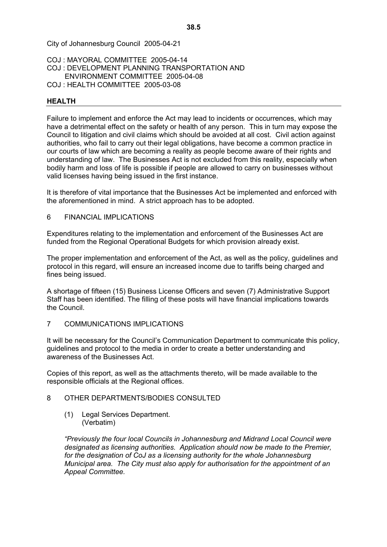# COJ : MAYORAL COMMITTEE 2005-04-14 COJ : DEVELOPMENT PLANNING TRANSPORTATION AND ENVIRONMENT COMMITTEE 2005-04-08

COJ : HEALTH COMMITTEE 2005-03-08

### **HEALTH**

Failure to implement and enforce the Act may lead to incidents or occurrences, which may have a detrimental effect on the safety or health of any person. This in turn may expose the Council to litigation and civil claims which should be avoided at all cost. Civil action against authorities, who fail to carry out their legal obligations, have become a common practice in our courts of law which are becoming a reality as people become aware of their rights and understanding of law. The Businesses Act is not excluded from this reality, especially when bodily harm and loss of life is possible if people are allowed to carry on businesses without valid licenses having being issued in the first instance.

It is therefore of vital importance that the Businesses Act be implemented and enforced with the aforementioned in mind. A strict approach has to be adopted.

### 6 FINANCIAL IMPLICATIONS

Expenditures relating to the implementation and enforcement of the Businesses Act are funded from the Regional Operational Budgets for which provision already exist.

The proper implementation and enforcement of the Act, as well as the policy, guidelines and protocol in this regard, will ensure an increased income due to tariffs being charged and fines being issued.

A shortage of fifteen (15) Business License Officers and seven (7) Administrative Support Staff has been identified. The filling of these posts will have financial implications towards the Council.

### 7 COMMUNICATIONS IMPLICATIONS

It will be necessary for the Council's Communication Department to communicate this policy, guidelines and protocol to the media in order to create a better understanding and awareness of the Businesses Act.

Copies of this report, as well as the attachments thereto, will be made available to the responsible officials at the Regional offices.

### 8 OTHER DEPARTMENTS/BODIES CONSULTED

(1) Legal Services Department. (Verbatim)

*!Previously the four local Councils in Johannesburg and Midrand Local Council were designated as licensing authorities. Application should now be made to the Premier, for the designation of CoJ as a licensing authority for the whole Johannesburg Municipal area. The City must also apply for authorisation for the appointment of an Appeal Committee.*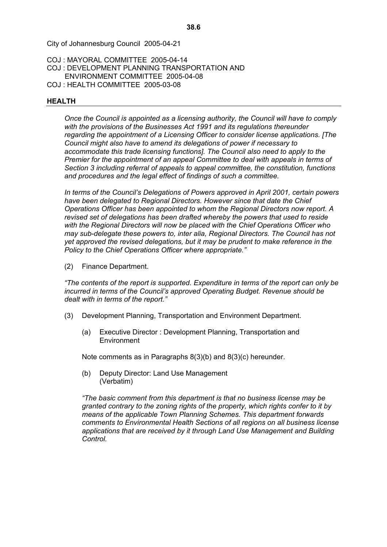COJ : MAYORAL COMMITTEE 2005-04-14 COJ : DEVELOPMENT PLANNING TRANSPORTATION AND ENVIRONMENT COMMITTEE 2005-04-08

COJ : HEALTH COMMITTEE 2005-03-08

### **HEALTH**

*Once the Council is appointed as a licensing authority, the Council will have to comply with the provisions of the Businesses Act 1991 and its regulations thereunder regarding the appointment of a Licensing Officer to consider license applications. [The Council might also have to amend its delegations of power if necessary to accommodate this trade licensing functions]. The Council also need to apply to the Premier for the appointment of an appeal Committee to deal with appeals in terms of Section 3 including referral of appeals to appeal committee, the constitution, functions and procedures and the legal effect of findings of such a committee.* 

In terms of the Council's Delegations of Powers approved in April 2001, certain powers *have been delegated to Regional Directors. However since that date the Chief Operations Officer has been appointed to whom the Regional Directors now report. A revised set of delegations has been drafted whereby the powers that used to reside with the Regional Directors will now be placed with the Chief Operations Officer who may sub-delegate these powers to, inter alia, Regional Directors. The Council has not yet approved the revised delegations, but it may be prudent to make reference in the Policy to the Chief Operations Officer where appropriate.<*

(2) Finance Department.

*!The contents of the report is supported. Expenditure in terms of the report can only be incurred in terms of the Council's approved Operating Budget. Revenue should be dealt with in terms of the report.<* 

- (3) Development Planning, Transportation and Environment Department.
	- (a) Executive Director : Development Planning, Transportation and **Environment**

Note comments as in Paragraphs 8(3)(b) and 8(3)(c) hereunder.

(b) Deputy Director: Land Use Management (Verbatim)

*!The basic comment from this department is that no business license may be granted contrary to the zoning rights of the property, which rights confer to it by means of the applicable Town Planning Schemes. This department forwards comments to Environmental Health Sections of all regions on all business license applications that are received by it through Land Use Management and Building Control.*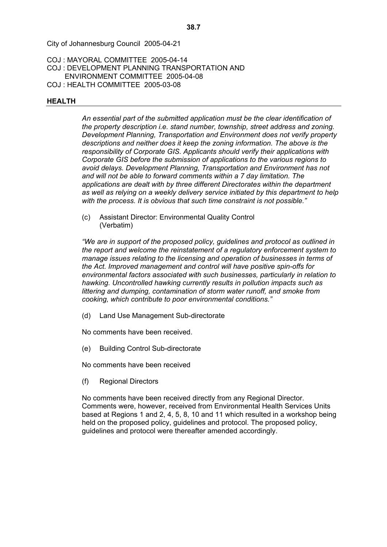COJ : MAYORAL COMMITTEE 2005-04-14 COJ : DEVELOPMENT PLANNING TRANSPORTATION AND ENVIRONMENT COMMITTEE 2005-04-08 COJ : HEALTH COMMITTEE 2005-03-08

### **HEALTH**

*An essential part of the submitted application must be the clear identification of the property description i.e. stand number, township, street address and zoning. Development Planning, Transportation and Environment does not verify property descriptions and neither does it keep the zoning information. The above is the responsibility of Corporate GIS. Applicants should verify their applications with Corporate GIS before the submission of applications to the various regions to avoid delays. Development Planning, Transportation and Environment has not and will not be able to forward comments within a 7 day limitation. The applications are dealt with by three different Directorates within the department as well as relying on a weekly delivery service initiated by this department to help*  with the process. It is obvious that such time constraint is not possible."

(c) Assistant Director: Environmental Quality Control (Verbatim)

*!We are in support of the proposed policy, guidelines and protocol as outlined in the report and welcome the reinstatement of a regulatory enforcement system to manage issues relating to the licensing and operation of businesses in terms of the Act. Improved management and control will have positive spin-offs for environmental factors associated with such businesses, particularly in relation to hawking. Uncontrolled hawking currently results in pollution impacts such as littering and dumping, contamination of storm water runoff, and smoke from cooking, which contribute to poor environmental conditions.<* 

(d) Land Use Management Sub-directorate

No comments have been received.

(e) Building Control Sub-directorate

No comments have been received

(f) Regional Directors

No comments have been received directly from any Regional Director. Comments were, however, received from Environmental Health Services Units based at Regions 1 and 2, 4, 5, 8, 10 and 11 which resulted in a workshop being held on the proposed policy, guidelines and protocol. The proposed policy, guidelines and protocol were thereafter amended accordingly.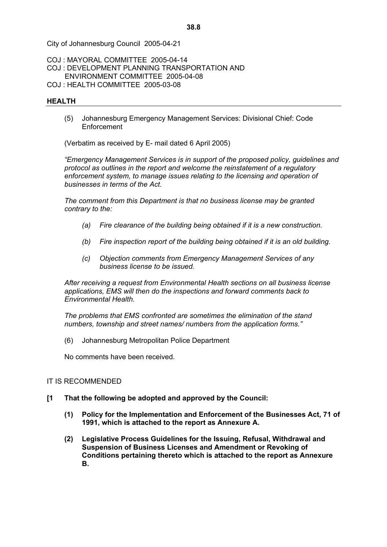COJ : MAYORAL COMMITTEE 2005-04-14

- COJ : DEVELOPMENT PLANNING TRANSPORTATION AND ENVIRONMENT COMMITTEE 2005-04-08
- COJ : HEALTH COMMITTEE 2005-03-08

## **HEALTH**

(5) Johannesburg Emergency Management Services: Divisional Chief: Code Enforcement

(Verbatim as received by E- mail dated 6 April 2005)

*!Emergency Management Services is in support of the proposed policy, guidelines and protocol as outlines in the report and welcome the reinstatement of a regulatory enforcement system, to manage issues relating to the licensing and operation of businesses in terms of the Act.* 

*The comment from this Department is that no business license may be granted contrary to the:* 

- *(a) Fire clearance of the building being obtained if it is a new construction.*
- *(b) Fire inspection report of the building being obtained if it is an old building.*
- *(c) Objection comments from Emergency Management Services of any business license to be issued.*

*After receiving a request from Environmental Health sections on all business license applications, EMS will then do the inspections and forward comments back to Environmental Health.* 

*The problems that EMS confronted are sometimes the elimination of the stand numbers, township and street names/ numbers from the application forms.<*

(6) Johannesburg Metropolitan Police Department

No comments have been received.

### IT IS RECOMMENDED

- **[1 That the following be adopted and approved by the Council:** 
	- **(1) Policy for the Implementation and Enforcement of the Businesses Act, 71 of 1991, which is attached to the report as Annexure A.**
	- **(2) Legislative Process Guidelines for the Issuing, Refusal, Withdrawal and Suspension of Business Licenses and Amendment or Revoking of Conditions pertaining thereto which is attached to the report as Annexure B.**